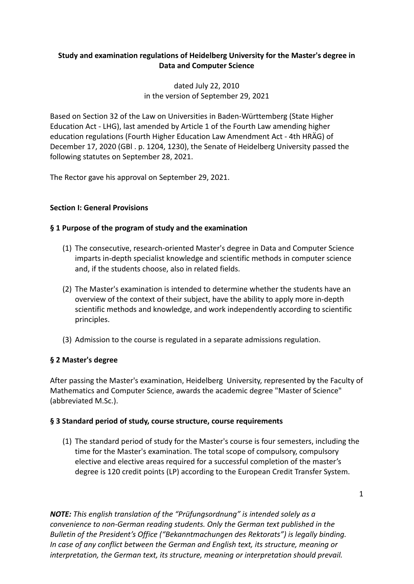# **Study and examination regulations of Heidelberg University for the Master's degree in Data and Computer Science**

# dated July 22, 2010 in the version of September 29, 2021

Based on Section 32 of the Law on Universities in Baden-Württemberg (State Higher Education Act - LHG), last amended by Article 1 of the Fourth Law amending higher education regulations (Fourth Higher Education Law Amendment Act - 4th HRÄG) of December 17, 2020 (GBl . p. 1204, 1230), the Senate of Heidelberg University passed the following statutes on September 28, 2021.

The Rector gave his approval on September 29, 2021.

# **Section I: General Provisions**

# **§ 1 Purpose of the program of study and the examination**

- (1) The consecutive, research-oriented Master's degree in Data and Computer Science imparts in-depth specialist knowledge and scientific methods in computer science and, if the students choose, also in related fields.
- (2) The Master's examination is intended to determine whether the students have an overview of the context of their subject, have the ability to apply more in-depth scientific methods and knowledge, and work independently according to scientific principles.
- (3) Admission to the course is regulated in a separate admissions regulation.

# **§ 2 Master's degree**

After passing the Master's examination, Heidelberg University, represented by the Faculty of Mathematics and Computer Science, awards the academic degree "Master of Science" (abbreviated M.Sc.).

# **§ 3 Standard period of study, course structure, course requirements**

(1) The standard period of study for the Master's course is four semesters, including the time for the Master's examination. The total scope of compulsory, compulsory elective and elective areas required for a successful completion of the master's degree is 120 credit points (LP) according to the European Credit Transfer System.

1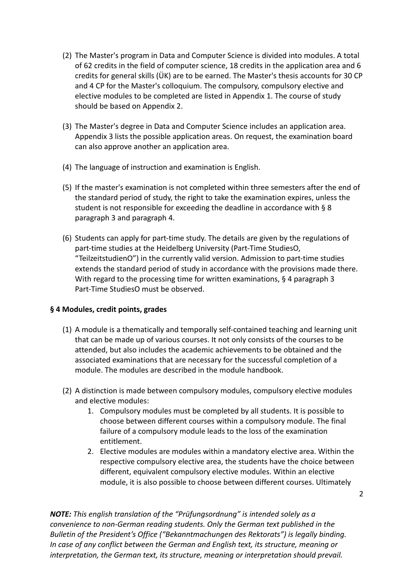- (2) The Master's program in Data and Computer Science is divided into modules. A total of 62 credits in the field of computer science, 18 credits in the application area and 6 credits for general skills (ÜK) are to be earned. The Master's thesis accounts for 30 CP and 4 CP for the Master's colloquium. The compulsory, compulsory elective and elective modules to be completed are listed in Appendix 1. The course of study should be based on Appendix 2.
- (3) The Master's degree in Data and Computer Science includes an application area. Appendix 3 lists the possible application areas. On request, the examination board can also approve another an application area.
- (4) The language of instruction and examination is English.
- (5) If the master's examination is not completed within three semesters after the end of the standard period of study, the right to take the examination expires, unless the student is not responsible for exceeding the deadline in accordance with § 8 paragraph 3 and paragraph 4.
- (6) Students can apply for part-time study. The details are given by the regulations of part-time studies at the Heidelberg University (Part-Time StudiesO, "TeilzeitstudienO") in the currently valid version. Admission to part-time studies extends the standard period of study in accordance with the provisions made there. With regard to the processing time for written examinations, § 4 paragraph 3 Part-Time StudiesO must be observed.

# **§ 4 Modules, credit points, grades**

- (1) A module is a thematically and temporally self-contained teaching and learning unit that can be made up of various courses. It not only consists of the courses to be attended, but also includes the academic achievements to be obtained and the associated examinations that are necessary for the successful completion of a module. The modules are described in the module handbook.
- (2) A distinction is made between compulsory modules, compulsory elective modules and elective modules:
	- 1. Compulsory modules must be completed by all students. It is possible to choose between different courses within a compulsory module. The final failure of a compulsory module leads to the loss of the examination entitlement.
	- 2. Elective modules are modules within a mandatory elective area. Within the respective compulsory elective area, the students have the choice between different, equivalent compulsory elective modules. Within an elective module, it is also possible to choose between different courses. Ultimately

*NOTE: This english translation of the "Prüfungsordnung" is intended solely as a convenience to non-German reading students. Only the German text published in the Bulletin of the President's Office ("Bekanntmachungen des Rektorats") is legally binding. In case of any conflict between the German and English text, its structure, meaning or interpretation, the German text, its structure, meaning or interpretation should prevail.*

2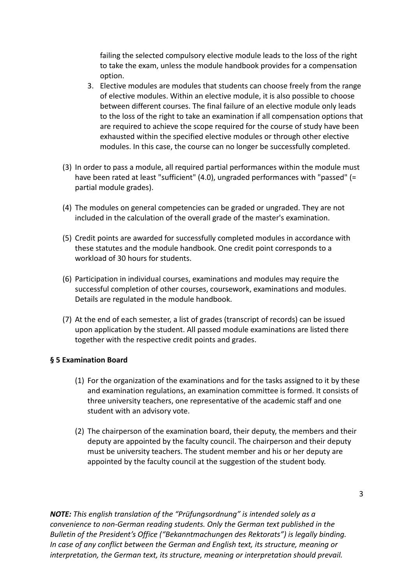failing the selected compulsory elective module leads to the loss of the right to take the exam, unless the module handbook provides for a compensation option.

- 3. Elective modules are modules that students can choose freely from the range of elective modules. Within an elective module, it is also possible to choose between different courses. The final failure of an elective module only leads to the loss of the right to take an examination if all compensation options that are required to achieve the scope required for the course of study have been exhausted within the specified elective modules or through other elective modules. In this case, the course can no longer be successfully completed.
- (3) In order to pass a module, all required partial performances within the module must have been rated at least "sufficient" (4.0), ungraded performances with "passed" (= partial module grades).
- (4) The modules on general competencies can be graded or ungraded. They are not included in the calculation of the overall grade of the master's examination.
- (5) Credit points are awarded for successfully completed modules in accordance with these statutes and the module handbook. One credit point corresponds to a workload of 30 hours for students.
- (6) Participation in individual courses, examinations and modules may require the successful completion of other courses, coursework, examinations and modules. Details are regulated in the module handbook.
- (7) At the end of each semester, a list of grades (transcript of records) can be issued upon application by the student. All passed module examinations are listed there together with the respective credit points and grades.

#### **§ 5 Examination Board**

- (1) For the organization of the examinations and for the tasks assigned to it by these and examination regulations, an examination committee is formed. It consists of three university teachers, one representative of the academic staff and one student with an advisory vote.
- (2) The chairperson of the examination board, their deputy, the members and their deputy are appointed by the faculty council. The chairperson and their deputy must be university teachers. The student member and his or her deputy are appointed by the faculty council at the suggestion of the student body.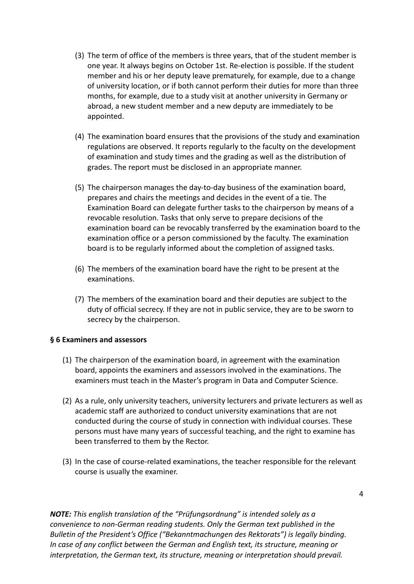- (3) The term of office of the members is three years, that of the student member is one year. It always begins on October 1st. Re-election is possible. If the student member and his or her deputy leave prematurely, for example, due to a change of university location, or if both cannot perform their duties for more than three months, for example, due to a study visit at another university in Germany or abroad, a new student member and a new deputy are immediately to be appointed.
- (4) The examination board ensures that the provisions of the study and examination regulations are observed. It reports regularly to the faculty on the development of examination and study times and the grading as well as the distribution of grades. The report must be disclosed in an appropriate manner.
- (5) The chairperson manages the day-to-day business of the examination board, prepares and chairs the meetings and decides in the event of a tie. The Examination Board can delegate further tasks to the chairperson by means of a revocable resolution. Tasks that only serve to prepare decisions of the examination board can be revocably transferred by the examination board to the examination office or a person commissioned by the faculty. The examination board is to be regularly informed about the completion of assigned tasks.
- (6) The members of the examination board have the right to be present at the examinations.
- (7) The members of the examination board and their deputies are subject to the duty of official secrecy. If they are not in public service, they are to be sworn to secrecy by the chairperson.

#### **§ 6 Examiners and assessors**

- (1) The chairperson of the examination board, in agreement with the examination board, appoints the examiners and assessors involved in the examinations. The examiners must teach in the Master's program in Data and Computer Science.
- (2) As a rule, only university teachers, university lecturers and private lecturers as well as academic staff are authorized to conduct university examinations that are not conducted during the course of study in connection with individual courses. These persons must have many years of successful teaching, and the right to examine has been transferred to them by the Rector.
- (3) In the case of course-related examinations, the teacher responsible for the relevant course is usually the examiner.

4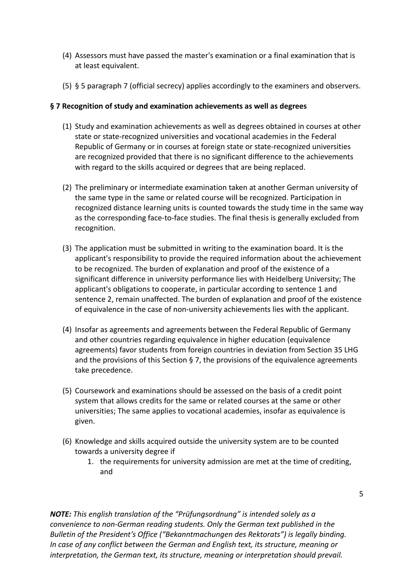- (4) Assessors must have passed the master's examination or a final examination that is at least equivalent.
- (5) § 5 paragraph 7 (official secrecy) applies accordingly to the examiners and observers.

### **§ 7 Recognition of study and examination achievements as well as degrees**

- (1) Study and examination achievements as well as degrees obtained in courses at other state or state-recognized universities and vocational academies in the Federal Republic of Germany or in courses at foreign state or state-recognized universities are recognized provided that there is no significant difference to the achievements with regard to the skills acquired or degrees that are being replaced.
- (2) The preliminary or intermediate examination taken at another German university of the same type in the same or related course will be recognized. Participation in recognized distance learning units is counted towards the study time in the same way as the corresponding face-to-face studies. The final thesis is generally excluded from recognition.
- (3) The application must be submitted in writing to the examination board. It is the applicant's responsibility to provide the required information about the achievement to be recognized. The burden of explanation and proof of the existence of a significant difference in university performance lies with Heidelberg University; The applicant's obligations to cooperate, in particular according to sentence 1 and sentence 2, remain unaffected. The burden of explanation and proof of the existence of equivalence in the case of non-university achievements lies with the applicant.
- (4) Insofar as agreements and agreements between the Federal Republic of Germany and other countries regarding equivalence in higher education (equivalence agreements) favor students from foreign countries in deviation from Section 35 LHG and the provisions of this Section § 7, the provisions of the equivalence agreements take precedence.
- (5) Coursework and examinations should be assessed on the basis of a credit point system that allows credits for the same or related courses at the same or other universities; The same applies to vocational academies, insofar as equivalence is given.
- (6) Knowledge and skills acquired outside the university system are to be counted towards a university degree if
	- 1. the requirements for university admission are met at the time of crediting, and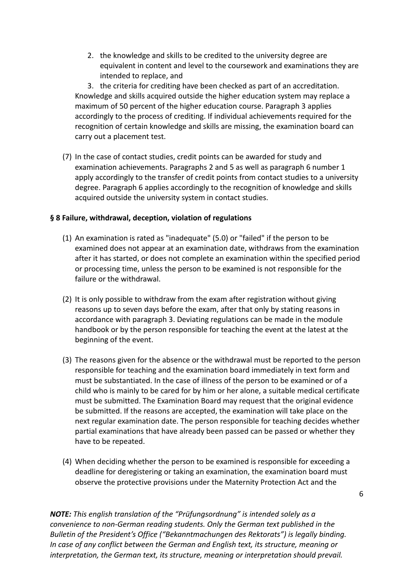2. the knowledge and skills to be credited to the university degree are equivalent in content and level to the coursework and examinations they are intended to replace, and

3. the criteria for crediting have been checked as part of an accreditation. Knowledge and skills acquired outside the higher education system may replace a maximum of 50 percent of the higher education course. Paragraph 3 applies accordingly to the process of crediting. If individual achievements required for the recognition of certain knowledge and skills are missing, the examination board can carry out a placement test.

(7) In the case of contact studies, credit points can be awarded for study and examination achievements. Paragraphs 2 and 5 as well as paragraph 6 number 1 apply accordingly to the transfer of credit points from contact studies to a university degree. Paragraph 6 applies accordingly to the recognition of knowledge and skills acquired outside the university system in contact studies.

### **§ 8 Failure, withdrawal, deception, violation of regulations**

- (1) An examination is rated as "inadequate" (5.0) or "failed" if the person to be examined does not appear at an examination date, withdraws from the examination after it has started, or does not complete an examination within the specified period or processing time, unless the person to be examined is not responsible for the failure or the withdrawal.
- (2) It is only possible to withdraw from the exam after registration without giving reasons up to seven days before the exam, after that only by stating reasons in accordance with paragraph 3. Deviating regulations can be made in the module handbook or by the person responsible for teaching the event at the latest at the beginning of the event.
- (3) The reasons given for the absence or the withdrawal must be reported to the person responsible for teaching and the examination board immediately in text form and must be substantiated. In the case of illness of the person to be examined or of a child who is mainly to be cared for by him or her alone, a suitable medical certificate must be submitted. The Examination Board may request that the original evidence be submitted. If the reasons are accepted, the examination will take place on the next regular examination date. The person responsible for teaching decides whether partial examinations that have already been passed can be passed or whether they have to be repeated.
- (4) When deciding whether the person to be examined is responsible for exceeding a deadline for deregistering or taking an examination, the examination board must observe the protective provisions under the Maternity Protection Act and the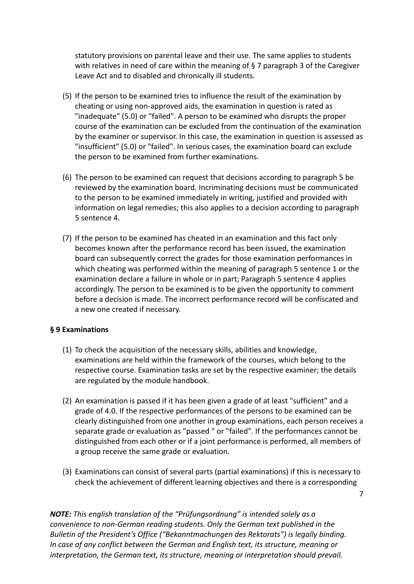statutory provisions on parental leave and their use. The same applies to students with relatives in need of care within the meaning of § 7 paragraph 3 of the Caregiver Leave Act and to disabled and chronically ill students.

- (5) If the person to be examined tries to influence the result of the examination by cheating or using non-approved aids, the examination in question is rated as "inadequate" (5.0) or "failed". A person to be examined who disrupts the proper course of the examination can be excluded from the continuation of the examination by the examiner or supervisor. In this case, the examination in question is assessed as "insufficient" (5.0) or "failed". In serious cases, the examination board can exclude the person to be examined from further examinations.
- (6) The person to be examined can request that decisions according to paragraph 5 be reviewed by the examination board. Incriminating decisions must be communicated to the person to be examined immediately in writing, justified and provided with information on legal remedies; this also applies to a decision according to paragraph 5 sentence 4.
- (7) If the person to be examined has cheated in an examination and this fact only becomes known after the performance record has been issued, the examination board can subsequently correct the grades for those examination performances in which cheating was performed within the meaning of paragraph 5 sentence 1 or the examination declare a failure in whole or in part; Paragraph 5 sentence 4 applies accordingly. The person to be examined is to be given the opportunity to comment before a decision is made. The incorrect performance record will be confiscated and a new one created if necessary.

#### **§ 9 Examinations**

- (1) To check the acquisition of the necessary skills, abilities and knowledge, examinations are held within the framework of the courses, which belong to the respective course. Examination tasks are set by the respective examiner; the details are regulated by the module handbook.
- (2) An examination is passed if it has been given a grade of at least "sufficient" and a grade of 4.0. If the respective performances of the persons to be examined can be clearly distinguished from one another in group examinations, each person receives a separate grade or evaluation as "passed " or "failed". If the performances cannot be distinguished from each other or if a joint performance is performed, all members of a group receive the same grade or evaluation.
- (3) Examinations can consist of several parts (partial examinations) if this is necessary to check the achievement of different learning objectives and there is a corresponding

7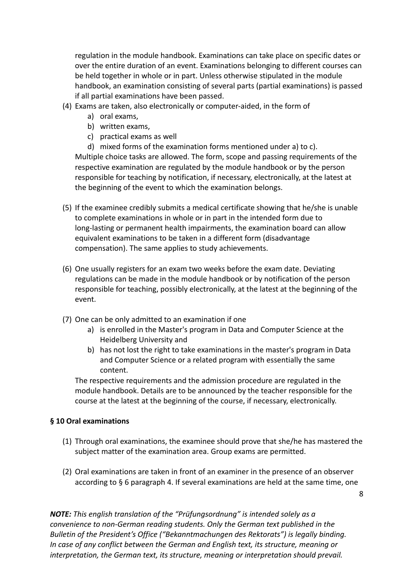regulation in the module handbook. Examinations can take place on specific dates or over the entire duration of an event. Examinations belonging to different courses can be held together in whole or in part. Unless otherwise stipulated in the module handbook, an examination consisting of several parts (partial examinations) is passed if all partial examinations have been passed.

- (4) Exams are taken, also electronically or computer-aided, in the form of
	- a) oral exams,
	- b) written exams,
	- c) practical exams as well

d) mixed forms of the examination forms mentioned under a) to c). Multiple choice tasks are allowed. The form, scope and passing requirements of the respective examination are regulated by the module handbook or by the person responsible for teaching by notification, if necessary, electronically, at the latest at the beginning of the event to which the examination belongs.

- (5) If the examinee credibly submits a medical certificate showing that he/she is unable to complete examinations in whole or in part in the intended form due to long-lasting or permanent health impairments, the examination board can allow equivalent examinations to be taken in a different form (disadvantage compensation). The same applies to study achievements.
- (6) One usually registers for an exam two weeks before the exam date. Deviating regulations can be made in the module handbook or by notification of the person responsible for teaching, possibly electronically, at the latest at the beginning of the event.
- (7) One can be only admitted to an examination if one
	- a) is enrolled in the Master's program in Data and Computer Science at the Heidelberg University and
	- b) has not lost the right to take examinations in the master's program in Data and Computer Science or a related program with essentially the same content.

The respective requirements and the admission procedure are regulated in the module handbook. Details are to be announced by the teacher responsible for the course at the latest at the beginning of the course, if necessary, electronically.

# **§ 10 Oral examinations**

- (1) Through oral examinations, the examinee should prove that she/he has mastered the subject matter of the examination area. Group exams are permitted.
- (2) Oral examinations are taken in front of an examiner in the presence of an observer according to § 6 paragraph 4. If several examinations are held at the same time, one

8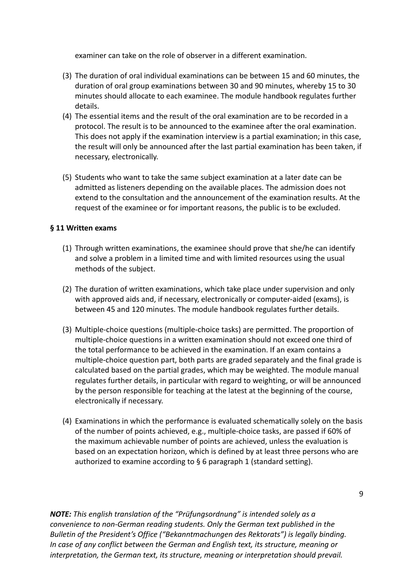examiner can take on the role of observer in a different examination.

- (3) The duration of oral individual examinations can be between 15 and 60 minutes, the duration of oral group examinations between 30 and 90 minutes, whereby 15 to 30 minutes should allocate to each examinee. The module handbook regulates further details.
- (4) The essential items and the result of the oral examination are to be recorded in a protocol. The result is to be announced to the examinee after the oral examination. This does not apply if the examination interview is a partial examination; in this case, the result will only be announced after the last partial examination has been taken, if necessary, electronically.
- (5) Students who want to take the same subject examination at a later date can be admitted as listeners depending on the available places. The admission does not extend to the consultation and the announcement of the examination results. At the request of the examinee or for important reasons, the public is to be excluded.

### **§ 11 Written exams**

- (1) Through written examinations, the examinee should prove that she/he can identify and solve a problem in a limited time and with limited resources using the usual methods of the subject.
- (2) The duration of written examinations, which take place under supervision and only with approved aids and, if necessary, electronically or computer-aided (exams), is between 45 and 120 minutes. The module handbook regulates further details.
- (3) Multiple-choice questions (multiple-choice tasks) are permitted. The proportion of multiple-choice questions in a written examination should not exceed one third of the total performance to be achieved in the examination. If an exam contains a multiple-choice question part, both parts are graded separately and the final grade is calculated based on the partial grades, which may be weighted. The module manual regulates further details, in particular with regard to weighting, or will be announced by the person responsible for teaching at the latest at the beginning of the course, electronically if necessary.
- (4) Examinations in which the performance is evaluated schematically solely on the basis of the number of points achieved, e.g., multiple-choice tasks, are passed if 60% of the maximum achievable number of points are achieved, unless the evaluation is based on an expectation horizon, which is defined by at least three persons who are authorized to examine according to § 6 paragraph 1 (standard setting).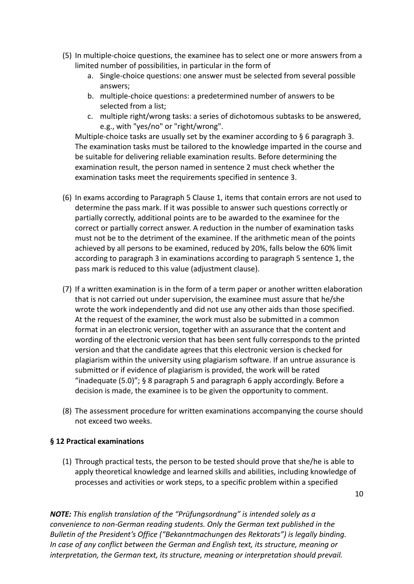- (5) In multiple-choice questions, the examinee has to select one or more answers from a limited number of possibilities, in particular in the form of
	- a. Single-choice questions: one answer must be selected from several possible answers;
	- b. multiple-choice questions: a predetermined number of answers to be selected from a list;
	- c. multiple right/wrong tasks: a series of dichotomous subtasks to be answered, e.g., with "yes/no" or "right/wrong".

Multiple-choice tasks are usually set by the examiner according to § 6 paragraph 3. The examination tasks must be tailored to the knowledge imparted in the course and be suitable for delivering reliable examination results. Before determining the examination result, the person named in sentence 2 must check whether the examination tasks meet the requirements specified in sentence 3.

- (6) In exams according to Paragraph 5 Clause 1, items that contain errors are not used to determine the pass mark. If it was possible to answer such questions correctly or partially correctly, additional points are to be awarded to the examinee for the correct or partially correct answer. A reduction in the number of examination tasks must not be to the detriment of the examinee. If the arithmetic mean of the points achieved by all persons to be examined, reduced by 20%, falls below the 60% limit according to paragraph 3 in examinations according to paragraph 5 sentence 1, the pass mark is reduced to this value (adjustment clause).
- (7) If a written examination is in the form of a term paper or another written elaboration that is not carried out under supervision, the examinee must assure that he/she wrote the work independently and did not use any other aids than those specified. At the request of the examiner, the work must also be submitted in a common format in an electronic version, together with an assurance that the content and wording of the electronic version that has been sent fully corresponds to the printed version and that the candidate agrees that this electronic version is checked for plagiarism within the university using plagiarism software. If an untrue assurance is submitted or if evidence of plagiarism is provided, the work will be rated "inadequate  $(5.0)$ "; § 8 paragraph 5 and paragraph 6 apply accordingly. Before a decision is made, the examinee is to be given the opportunity to comment.
- (8) The assessment procedure for written examinations accompanying the course should not exceed two weeks.

#### **§ 12 Practical examinations**

(1) Through practical tests, the person to be tested should prove that she/he is able to apply theoretical knowledge and learned skills and abilities, including knowledge of processes and activities or work steps, to a specific problem within a specified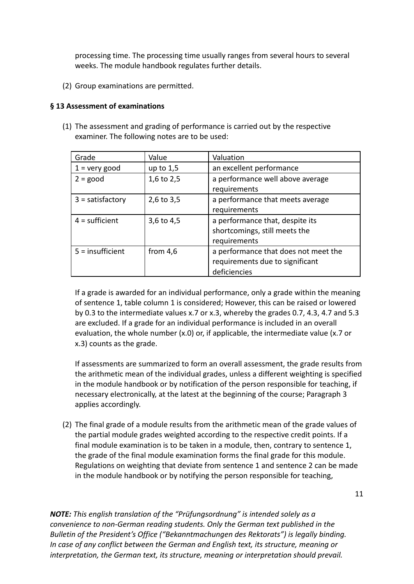processing time. The processing time usually ranges from several hours to several weeks. The module handbook regulates further details.

(2) Group examinations are permitted.

### **§ 13 Assessment of examinations**

(1) The assessment and grading of performance is carried out by the respective examiner. The following notes are to be used:

| Grade              | Value       | Valuation                                                                               |
|--------------------|-------------|-----------------------------------------------------------------------------------------|
| $1 =$ very good    | up to $1,5$ | an excellent performance                                                                |
| $2 = good$         | 1,6 to 2,5  | a performance well above average<br>requirements                                        |
| $3 =$ satisfactory | 2,6 to 3,5  | a performance that meets average<br>requirements                                        |
| $4 = sufficient$   | 3,6 to 4,5  | a performance that, despite its<br>shortcomings, still meets the<br>requirements        |
| $5 =$ insufficient | from $4,6$  | a performance that does not meet the<br>requirements due to significant<br>deficiencies |

If a grade is awarded for an individual performance, only a grade within the meaning of sentence 1, table column 1 is considered; However, this can be raised or lowered by 0.3 to the intermediate values x.7 or x.3, whereby the grades 0.7, 4.3, 4.7 and 5.3 are excluded. If a grade for an individual performance is included in an overall evaluation, the whole number (x.0) or, if applicable, the intermediate value (x.7 or x.3) counts as the grade.

If assessments are summarized to form an overall assessment, the grade results from the arithmetic mean of the individual grades, unless a different weighting is specified in the module handbook or by notification of the person responsible for teaching, if necessary electronically, at the latest at the beginning of the course; Paragraph 3 applies accordingly.

(2) The final grade of a module results from the arithmetic mean of the grade values of the partial module grades weighted according to the respective credit points. If a final module examination is to be taken in a module, then, contrary to sentence 1, the grade of the final module examination forms the final grade for this module. Regulations on weighting that deviate from sentence 1 and sentence 2 can be made in the module handbook or by notifying the person responsible for teaching,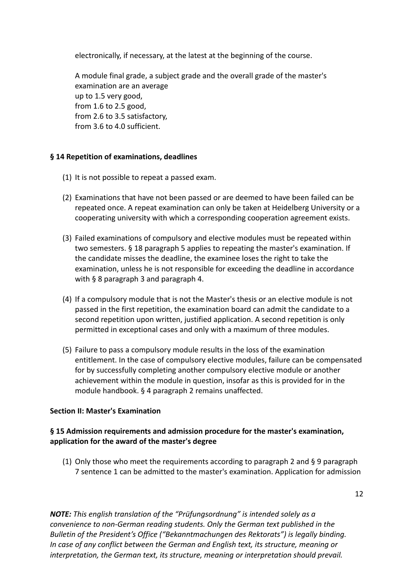electronically, if necessary, at the latest at the beginning of the course.

A module final grade, a subject grade and the overall grade of the master's examination are an average up to 1.5 very good, from 1.6 to 2.5 good, from 2.6 to 3.5 satisfactory, from 3.6 to 4.0 sufficient.

### **§ 14 Repetition of examinations, deadlines**

- (1) It is not possible to repeat a passed exam.
- (2) Examinations that have not been passed or are deemed to have been failed can be repeated once. A repeat examination can only be taken at Heidelberg University or a cooperating university with which a corresponding cooperation agreement exists.
- (3) Failed examinations of compulsory and elective modules must be repeated within two semesters. § 18 paragraph 5 applies to repeating the master's examination. If the candidate misses the deadline, the examinee loses the right to take the examination, unless he is not responsible for exceeding the deadline in accordance with § 8 paragraph 3 and paragraph 4.
- (4) If a compulsory module that is not the Master's thesis or an elective module is not passed in the first repetition, the examination board can admit the candidate to a second repetition upon written, justified application. A second repetition is only permitted in exceptional cases and only with a maximum of three modules.
- (5) Failure to pass a compulsory module results in the loss of the examination entitlement. In the case of compulsory elective modules, failure can be compensated for by successfully completing another compulsory elective module or another achievement within the module in question, insofar as this is provided for in the module handbook. § 4 paragraph 2 remains unaffected.

#### **Section II: Master's Examination**

# **§ 15 Admission requirements and admission procedure for the master's examination, application for the award of the master's degree**

(1) Only those who meet the requirements according to paragraph 2 and § 9 paragraph 7 sentence 1 can be admitted to the master's examination. Application for admission

12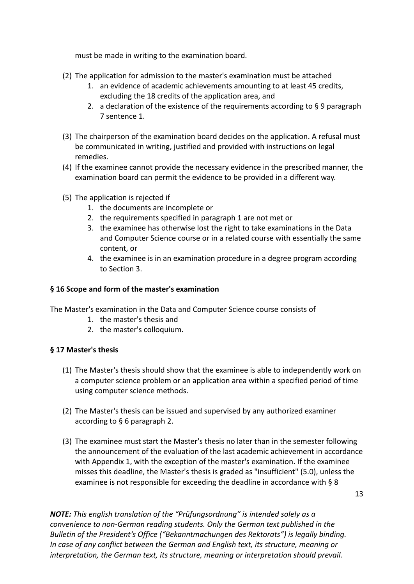must be made in writing to the examination board.

- (2) The application for admission to the master's examination must be attached
	- 1. an evidence of academic achievements amounting to at least 45 credits, excluding the 18 credits of the application area, and
	- 2. a declaration of the existence of the requirements according to  $\S 9$  paragraph 7 sentence 1.
- (3) The chairperson of the examination board decides on the application. A refusal must be communicated in writing, justified and provided with instructions on legal remedies.
- (4) If the examinee cannot provide the necessary evidence in the prescribed manner, the examination board can permit the evidence to be provided in a different way.
- (5) The application is rejected if
	- 1. the documents are incomplete or
	- 2. the requirements specified in paragraph 1 are not met or
	- 3. the examinee has otherwise lost the right to take examinations in the Data and Computer Science course or in a related course with essentially the same content, or
	- 4. the examinee is in an examination procedure in a degree program according to Section 3.

# **§ 16 Scope and form of the master's examination**

The Master's examination in the Data and Computer Science course consists of

- 1. the master's thesis and
- 2. the master's colloquium.

# **§ 17 Master's thesis**

- (1) The Master's thesis should show that the examinee is able to independently work on a computer science problem or an application area within a specified period of time using computer science methods.
- (2) The Master's thesis can be issued and supervised by any authorized examiner according to § 6 paragraph 2.
- (3) The examinee must start the Master's thesis no later than in the semester following the announcement of the evaluation of the last academic achievement in accordance with Appendix 1, with the exception of the master's examination. If the examinee misses this deadline, the Master's thesis is graded as "insufficient" (5.0), unless the examinee is not responsible for exceeding the deadline in accordance with § 8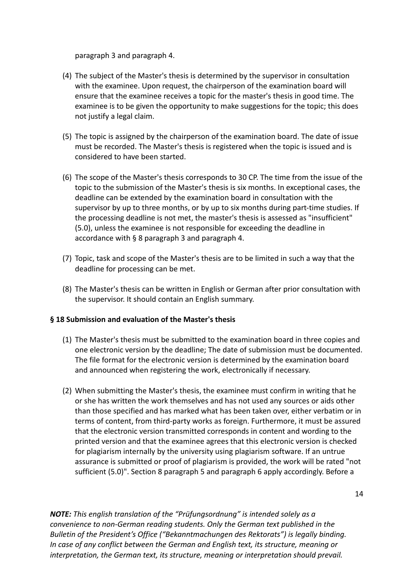paragraph 3 and paragraph 4.

- (4) The subject of the Master's thesis is determined by the supervisor in consultation with the examinee. Upon request, the chairperson of the examination board will ensure that the examinee receives a topic for the master's thesis in good time. The examinee is to be given the opportunity to make suggestions for the topic; this does not justify a legal claim.
- (5) The topic is assigned by the chairperson of the examination board. The date of issue must be recorded. The Master's thesis is registered when the topic is issued and is considered to have been started.
- (6) The scope of the Master's thesis corresponds to 30 CP. The time from the issue of the topic to the submission of the Master's thesis is six months. In exceptional cases, the deadline can be extended by the examination board in consultation with the supervisor by up to three months, or by up to six months during part-time studies. If the processing deadline is not met, the master's thesis is assessed as "insufficient" (5.0), unless the examinee is not responsible for exceeding the deadline in accordance with § 8 paragraph 3 and paragraph 4.
- (7) Topic, task and scope of the Master's thesis are to be limited in such a way that the deadline for processing can be met.
- (8) The Master's thesis can be written in English or German after prior consultation with the supervisor. It should contain an English summary.

# **§ 18 Submission and evaluation of the Master's thesis**

- (1) The Master's thesis must be submitted to the examination board in three copies and one electronic version by the deadline; The date of submission must be documented. The file format for the electronic version is determined by the examination board and announced when registering the work, electronically if necessary.
- (2) When submitting the Master's thesis, the examinee must confirm in writing that he or she has written the work themselves and has not used any sources or aids other than those specified and has marked what has been taken over, either verbatim or in terms of content, from third-party works as foreign. Furthermore, it must be assured that the electronic version transmitted corresponds in content and wording to the printed version and that the examinee agrees that this electronic version is checked for plagiarism internally by the university using plagiarism software. If an untrue assurance is submitted or proof of plagiarism is provided, the work will be rated "not sufficient (5.0)". Section 8 paragraph 5 and paragraph 6 apply accordingly. Before a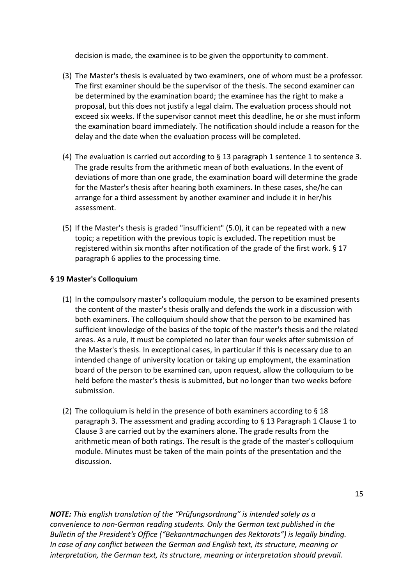decision is made, the examinee is to be given the opportunity to comment.

- (3) The Master's thesis is evaluated by two examiners, one of whom must be a professor. The first examiner should be the supervisor of the thesis. The second examiner can be determined by the examination board; the examinee has the right to make a proposal, but this does not justify a legal claim. The evaluation process should not exceed six weeks. If the supervisor cannot meet this deadline, he or she must inform the examination board immediately. The notification should include a reason for the delay and the date when the evaluation process will be completed.
- (4) The evaluation is carried out according to  $\S$  13 paragraph 1 sentence 1 to sentence 3. The grade results from the arithmetic mean of both evaluations. In the event of deviations of more than one grade, the examination board will determine the grade for the Master's thesis after hearing both examiners. In these cases, she/he can arrange for a third assessment by another examiner and include it in her/his assessment.
- (5) If the Master's thesis is graded "insufficient" (5.0), it can be repeated with a new topic; a repetition with the previous topic is excluded. The repetition must be registered within six months after notification of the grade of the first work. § 17 paragraph 6 applies to the processing time.

# **§ 19 Master's Colloquium**

- (1) In the compulsory master's colloquium module, the person to be examined presents the content of the master's thesis orally and defends the work in a discussion with both examiners. The colloquium should show that the person to be examined has sufficient knowledge of the basics of the topic of the master's thesis and the related areas. As a rule, it must be completed no later than four weeks after submission of the Master's thesis. In exceptional cases, in particular if this is necessary due to an intended change of university location or taking up employment, the examination board of the person to be examined can, upon request, allow the colloquium to be held before the master's thesis is submitted, but no longer than two weeks before submission.
- (2) The colloquium is held in the presence of both examiners according to § 18 paragraph 3. The assessment and grading according to § 13 Paragraph 1 Clause 1 to Clause 3 are carried out by the examiners alone. The grade results from the arithmetic mean of both ratings. The result is the grade of the master's colloquium module. Minutes must be taken of the main points of the presentation and the discussion.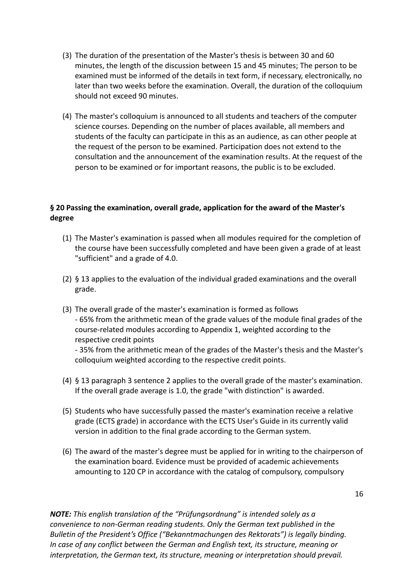- (3) The duration of the presentation of the Master's thesis is between 30 and 60 minutes, the length of the discussion between 15 and 45 minutes; The person to be examined must be informed of the details in text form, if necessary, electronically, no later than two weeks before the examination. Overall, the duration of the colloquium should not exceed 90 minutes.
- (4) The master's colloquium is announced to all students and teachers of the computer science courses. Depending on the number of places available, all members and students of the faculty can participate in this as an audience, as can other people at the request of the person to be examined. Participation does not extend to the consultation and the announcement of the examination results. At the request of the person to be examined or for important reasons, the public is to be excluded.

# **§ 20 Passing the examination, overall grade, application for the award of the Master's degree**

- (1) The Master's examination is passed when all modules required for the completion of the course have been successfully completed and have been given a grade of at least "sufficient" and a grade of 4.0.
- (2) § 13 applies to the evaluation of the individual graded examinations and the overall grade.
- (3) The overall grade of the master's examination is formed as follows - 65% from the arithmetic mean of the grade values of the module final grades of the course-related modules according to Appendix 1, weighted according to the respective credit points - 35% from the arithmetic mean of the grades of the Master's thesis and the Master's colloquium weighted according to the respective credit points.
- (4) § 13 paragraph 3 sentence 2 applies to the overall grade of the master's examination. If the overall grade average is 1.0, the grade "with distinction" is awarded.
- (5) Students who have successfully passed the master's examination receive a relative grade (ECTS grade) in accordance with the ECTS User's Guide in its currently valid version in addition to the final grade according to the German system.
- (6) The award of the master's degree must be applied for in writing to the chairperson of the examination board. Evidence must be provided of academic achievements amounting to 120 CP in accordance with the catalog of compulsory, compulsory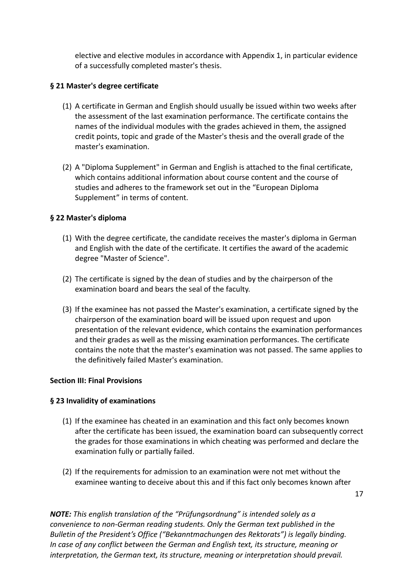elective and elective modules in accordance with Appendix 1, in particular evidence of a successfully completed master's thesis.

## **§ 21 Master's degree certificate**

- (1) A certificate in German and English should usually be issued within two weeks after the assessment of the last examination performance. The certificate contains the names of the individual modules with the grades achieved in them, the assigned credit points, topic and grade of the Master's thesis and the overall grade of the master's examination.
- (2) A "Diploma Supplement" in German and English is attached to the final certificate, which contains additional information about course content and the course of studies and adheres to the framework set out in the "European Diploma Supplement" in terms of content.

# **§ 22 Master's diploma**

- (1) With the degree certificate, the candidate receives the master's diploma in German and English with the date of the certificate. It certifies the award of the academic degree "Master of Science".
- (2) The certificate is signed by the dean of studies and by the chairperson of the examination board and bears the seal of the faculty.
- (3) If the examinee has not passed the Master's examination, a certificate signed by the chairperson of the examination board will be issued upon request and upon presentation of the relevant evidence, which contains the examination performances and their grades as well as the missing examination performances. The certificate contains the note that the master's examination was not passed. The same applies to the definitively failed Master's examination.

#### **Section III: Final Provisions**

#### **§ 23 Invalidity of examinations**

- (1) If the examinee has cheated in an examination and this fact only becomes known after the certificate has been issued, the examination board can subsequently correct the grades for those examinations in which cheating was performed and declare the examination fully or partially failed.
- (2) If the requirements for admission to an examination were not met without the examinee wanting to deceive about this and if this fact only becomes known after

17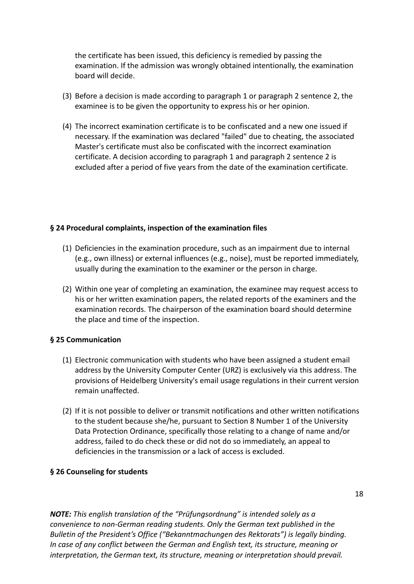the certificate has been issued, this deficiency is remedied by passing the examination. If the admission was wrongly obtained intentionally, the examination board will decide.

- (3) Before a decision is made according to paragraph 1 or paragraph 2 sentence 2, the examinee is to be given the opportunity to express his or her opinion.
- (4) The incorrect examination certificate is to be confiscated and a new one issued if necessary. If the examination was declared "failed" due to cheating, the associated Master's certificate must also be confiscated with the incorrect examination certificate. A decision according to paragraph 1 and paragraph 2 sentence 2 is excluded after a period of five years from the date of the examination certificate.

#### **§ 24 Procedural complaints, inspection of the examination files**

- (1) Deficiencies in the examination procedure, such as an impairment due to internal (e.g., own illness) or external influences (e.g., noise), must be reported immediately, usually during the examination to the examiner or the person in charge.
- (2) Within one year of completing an examination, the examinee may request access to his or her written examination papers, the related reports of the examiners and the examination records. The chairperson of the examination board should determine the place and time of the inspection.

#### **§ 25 Communication**

- (1) Electronic communication with students who have been assigned a student email address by the University Computer Center (URZ) is exclusively via this address. The provisions of Heidelberg University's email usage regulations in their current version remain unaffected.
- (2) If it is not possible to deliver or transmit notifications and other written notifications to the student because she/he, pursuant to Section 8 Number 1 of the University Data Protection Ordinance, specifically those relating to a change of name and/or address, failed to do check these or did not do so immediately, an appeal to deficiencies in the transmission or a lack of access is excluded.

#### **§ 26 Counseling for students**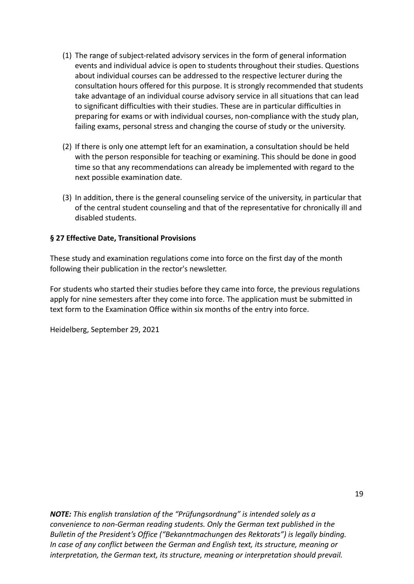- (1) The range of subject-related advisory services in the form of general information events and individual advice is open to students throughout their studies. Questions about individual courses can be addressed to the respective lecturer during the consultation hours offered for this purpose. It is strongly recommended that students take advantage of an individual course advisory service in all situations that can lead to significant difficulties with their studies. These are in particular difficulties in preparing for exams or with individual courses, non-compliance with the study plan, failing exams, personal stress and changing the course of study or the university.
- (2) If there is only one attempt left for an examination, a consultation should be held with the person responsible for teaching or examining. This should be done in good time so that any recommendations can already be implemented with regard to the next possible examination date.
- (3) In addition, there is the general counseling service of the university, in particular that of the central student counseling and that of the representative for chronically ill and disabled students.

# **§ 27 Effective Date, Transitional Provisions**

These study and examination regulations come into force on the first day of the month following their publication in the rector's newsletter.

For students who started their studies before they came into force, the previous regulations apply for nine semesters after they come into force. The application must be submitted in text form to the Examination Office within six months of the entry into force.

Heidelberg, September 29, 2021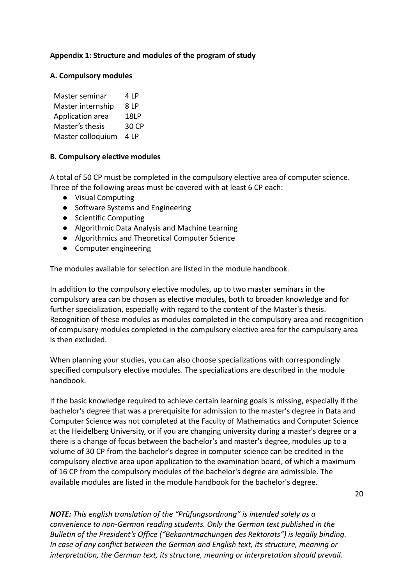### **Appendix 1: Structure and modules of the program of study**

#### **A. Compulsory modules**

| Master seminar    | 4 I P       |
|-------------------|-------------|
| Master internship | 8 LP        |
| Application area  | <b>18LP</b> |
| Master's thesis   | 30 CP       |
| Master colloquium | 4 I P       |

### **B. Compulsory elective modules**

A total of 50 CP must be completed in the compulsory elective area of computer science. Three of the following areas must be covered with at least 6 CP each:

- Visual Computing
- Software Systems and Engineering
- Scientific Computing
- Algorithmic Data Analysis and Machine Learning
- Algorithmics and Theoretical Computer Science
- Computer engineering

The modules available for selection are listed in the module handbook.

In addition to the compulsory elective modules, up to two master seminars in the compulsory area can be chosen as elective modules, both to broaden knowledge and for further specialization, especially with regard to the content of the Master's thesis. Recognition of these modules as modules completed in the compulsory area and recognition of compulsory modules completed in the compulsory elective area for the compulsory area is then excluded.

When planning your studies, you can also choose specializations with correspondingly specified compulsory elective modules. The specializations are described in the module handbook.

If the basic knowledge required to achieve certain learning goals is missing, especially if the bachelor's degree that was a prerequisite for admission to the master's degree in Data and Computer Science was not completed at the Faculty of Mathematics and Computer Science at the Heidelberg University, or if you are changing university during a master's degree or a there is a change of focus between the bachelor's and master's degree, modules up to a volume of 30 CP from the bachelor's degree in computer science can be credited in the compulsory elective area upon application to the examination board, of which a maximum of 16 CP from the compulsory modules of the bachelor's degree are admissible. The available modules are listed in the module handbook for the bachelor's degree.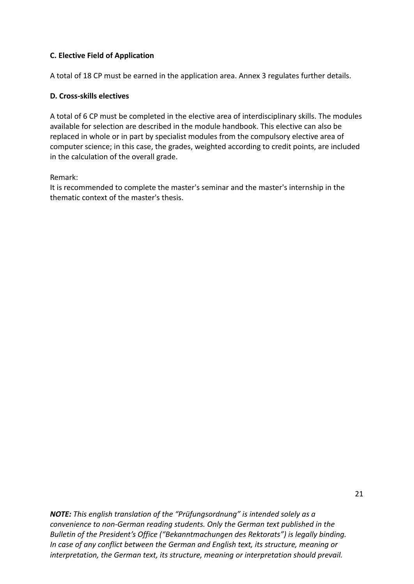# **C. Elective Field of Application**

A total of 18 CP must be earned in the application area. Annex 3 regulates further details.

# **D. Cross-skills electives**

A total of 6 CP must be completed in the elective area of interdisciplinary skills. The modules available for selection are described in the module handbook. This elective can also be replaced in whole or in part by specialist modules from the compulsory elective area of computer science; in this case, the grades, weighted according to credit points, are included in the calculation of the overall grade.

### Remark:

It is recommended to complete the master's seminar and the master's internship in the thematic context of the master's thesis.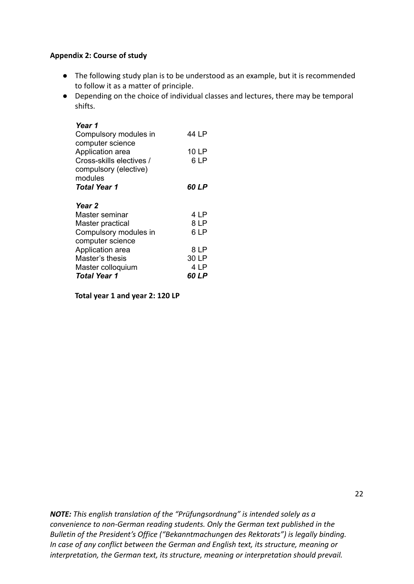### **Appendix 2: Course of study**

- The following study plan is to be understood as an example, but it is recommended to follow it as a matter of principle.
- Depending on the choice of individual classes and lectures, there may be temporal shifts.

| Year 1                   |        |
|--------------------------|--------|
| Compulsory modules in    | 44 I P |
| computer science         |        |
| Application area         | 10 LP  |
| Cross-skills electives / | 6 LP   |
| compulsory (elective)    |        |
| modules                  |        |
| Total Year 1             | 60 LP  |
|                          |        |
|                          |        |
| Year 2                   |        |
| Master seminar           | 4 LP   |
| Master practical         | 8 LP   |
| Compulsory modules in    | 6 LP   |
| computer science         |        |
| Application area         | 8 LP   |
| Master's thesis          | 30 LP  |
| Master colloquium        | 4 LP   |

**Total year 1 and year 2: 120 LP**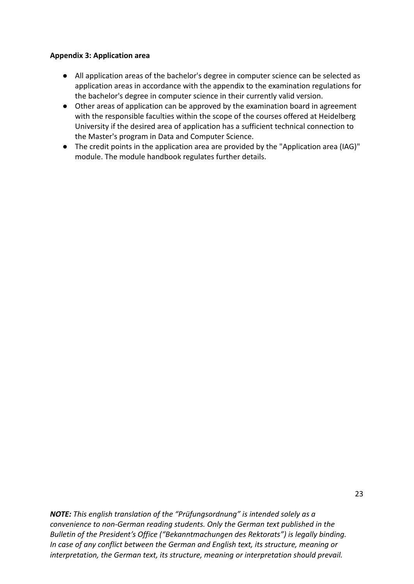## **Appendix 3: Application area**

- All application areas of the bachelor's degree in computer science can be selected as application areas in accordance with the appendix to the examination regulations for the bachelor's degree in computer science in their currently valid version.
- Other areas of application can be approved by the examination board in agreement with the responsible faculties within the scope of the courses offered at Heidelberg University if the desired area of application has a sufficient technical connection to the Master's program in Data and Computer Science.
- The credit points in the application area are provided by the "Application area (IAG)" module. The module handbook regulates further details.